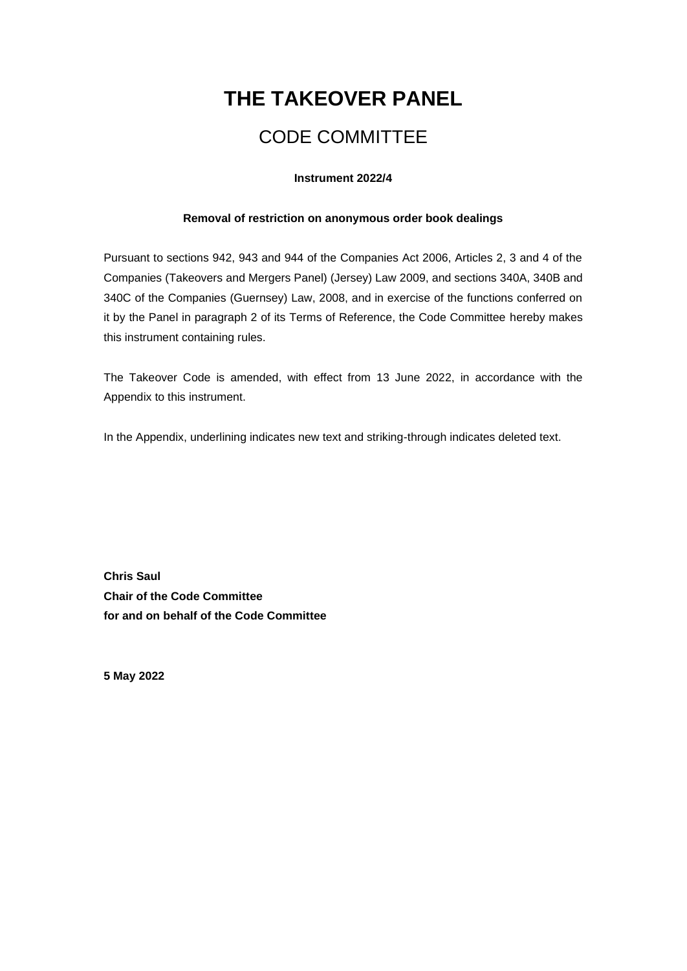# **THE TAKEOVER PANEL**

# CODE COMMITTEE

## **Instrument 2022/4**

# **Removal of restriction on anonymous order book dealings**

Pursuant to sections 942, 943 and 944 of the Companies Act 2006, Articles 2, 3 and 4 of the Companies (Takeovers and Mergers Panel) (Jersey) Law 2009, and sections 340A, 340B and 340C of the Companies (Guernsey) Law, 2008, and in exercise of the functions conferred on it by the Panel in paragraph 2 of its Terms of Reference, the Code Committee hereby makes this instrument containing rules.

The Takeover Code is amended, with effect from 13 June 2022, in accordance with the Appendix to this instrument.

In the Appendix, underlining indicates new text and striking-through indicates deleted text.

**Chris Saul Chair of the Code Committee for and on behalf of the Code Committee**

**5 May 2022**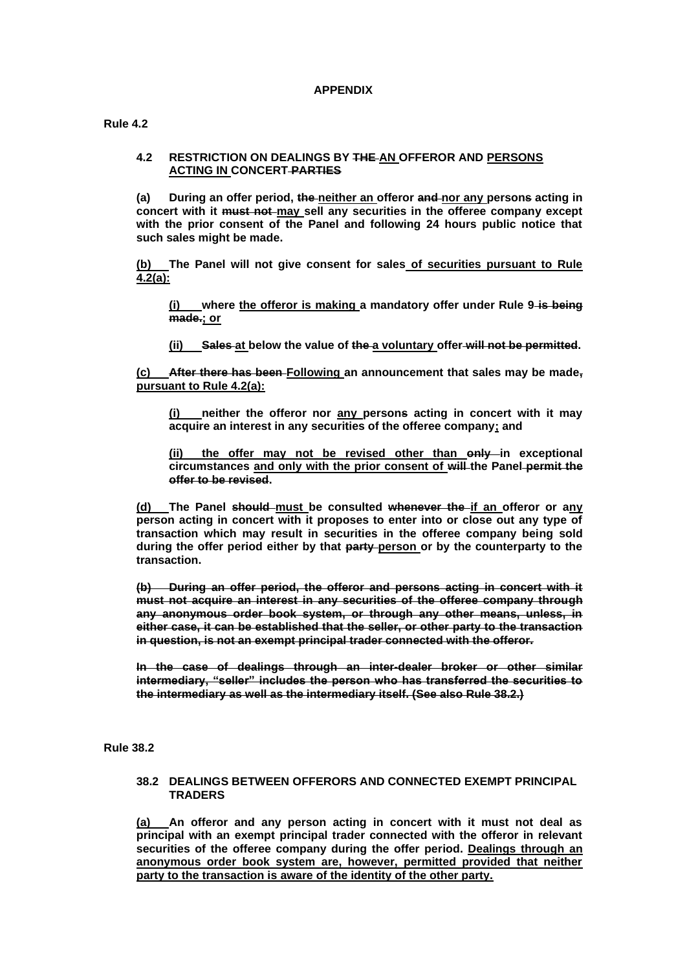### **APPENDIX**

**Rule 4.2**

#### **4.2 RESTRICTION ON DEALINGS BY THE AN OFFEROR AND PERSONS ACTING IN CONCERT PARTIES**

**(a) During an offer period, the neither an offeror and nor any persons acting in concert with it must not may sell any securities in the offeree company except with the prior consent of the Panel and following 24 hours public notice that such sales might be made.**

**(b) The Panel will not give consent for sales of securities pursuant to Rule 4.2(a):**

**(i) where the offeror is making a mandatory offer under Rule 9 is being made.; or**

**(ii) Sales at below the value of the a voluntary offer will not be permitted.**

**(c) After there has been Following an announcement that sales may be made, pursuant to Rule 4.2(a):**

**(i) neither the offeror nor any persons acting in concert with it may acquire an interest in any securities of the offeree company; and** 

(ii) the offer may not be revised other than only in exceptional **circumstances and only with the prior consent of will the Panel permit the offer to be revised.**

**(d) The Panel should must be consulted whenever the if an offeror or any person acting in concert with it proposes to enter into or close out any type of transaction which may result in securities in the offeree company being sold during the offer period either by that party person or by the counterparty to the transaction.**

**(b) During an offer period, the offeror and persons acting in concert with it must not acquire an interest in any securities of the offeree company through any anonymous order book system, or through any other means, unless, in either case, it can be established that the seller, or other party to the transaction in question, is not an exempt principal trader connected with the offeror.**

**In the case of dealings through an inter-dealer broker or other similar intermediary, "seller" includes the person who has transferred the securities to the intermediary as well as the intermediary itself. (See also Rule 38.2.)**

**Rule 38.2**

#### **38.2 DEALINGS BETWEEN OFFERORS AND CONNECTED EXEMPT PRINCIPAL TRADERS**

**(a) An offeror and any person acting in concert with it must not deal as principal with an exempt principal trader connected with the offeror in relevant securities of the offeree company during the offer period. Dealings through an anonymous order book system are, however, permitted provided that neither party to the transaction is aware of the identity of the other party.**